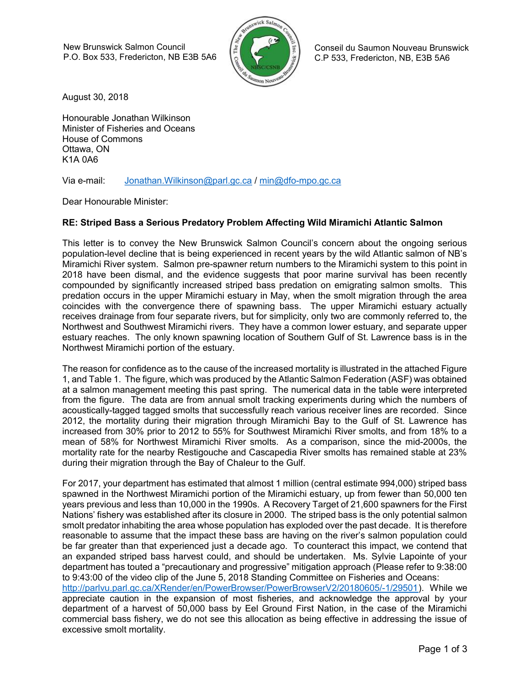New Brunswick Salmon Council P.O. Box 533, Fredericton, NB E3B 5A6



 Conseil du Saumon Nouveau Brunswick C.P 533, Fredericton, NB, E3B 5A6

August 30, 2018

Honourable Jonathan Wilkinson Minister of Fisheries and Oceans House of Commons Ottawa, ON K1A 0A6

Via e-mail: Jonathan.Wilkinson@parl.gc.ca / min@dfo-mpo.gc.ca

Dear Honourable Minister:

excessive smolt mortality.

## RE: Striped Bass a Serious Predatory Problem Affecting Wild Miramichi Atlantic Salmon

This letter is to convey the New Brunswick Salmon Council's concern about the ongoing serious population-level decline that is being experienced in recent years by the wild Atlantic salmon of NB's Miramichi River system. Salmon pre-spawner return numbers to the Miramichi system to this point in 2018 have been dismal, and the evidence suggests that poor marine survival has been recently compounded by significantly increased striped bass predation on emigrating salmon smolts. This predation occurs in the upper Miramichi estuary in May, when the smolt migration through the area coincides with the convergence there of spawning bass. The upper Miramichi estuary actually receives drainage from four separate rivers, but for simplicity, only two are commonly referred to, the Northwest and Southwest Miramichi rivers. They have a common lower estuary, and separate upper estuary reaches. The only known spawning location of Southern Gulf of St. Lawrence bass is in the Northwest Miramichi portion of the estuary.

The reason for confidence as to the cause of the increased mortality is illustrated in the attached Figure 1, and Table 1. The figure, which was produced by the Atlantic Salmon Federation (ASF) was obtained at a salmon management meeting this past spring. The numerical data in the table were interpreted from the figure. The data are from annual smolt tracking experiments during which the numbers of acoustically-tagged tagged smolts that successfully reach various receiver lines are recorded. Since 2012, the mortality during their migration through Miramichi Bay to the Gulf of St. Lawrence has increased from 30% prior to 2012 to 55% for Southwest Miramichi River smolts, and from 18% to a mean of 58% for Northwest Miramichi River smolts. As a comparison, since the mid-2000s, the mortality rate for the nearby Restigouche and Cascapedia River smolts has remained stable at 23% during their migration through the Bay of Chaleur to the Gulf.

For 2017, your department has estimated that almost 1 million (central estimate 994,000) striped bass spawned in the Northwest Miramichi portion of the Miramichi estuary, up from fewer than 50,000 ten years previous and less than 10,000 in the 1990s. A Recovery Target of 21,600 spawners for the First Nations' fishery was established after its closure in 2000. The striped bass is the only potential salmon smolt predator inhabiting the area whose population has exploded over the past decade. It is therefore reasonable to assume that the impact these bass are having on the river's salmon population could be far greater than that experienced just a decade ago. To counteract this impact, we contend that an expanded striped bass harvest could, and should be undertaken. Ms. Sylvie Lapointe of your department has touted a "precautionary and progressive" mitigation approach (Please refer to 9:38:00 to 9:43:00 of the video clip of the June 5, 2018 Standing Committee on Fisheries and Oceans: http://parlvu.parl.gc.ca/XRender/en/PowerBrowser/PowerBrowserV2/20180605/-1/29501). While we appreciate caution in the expansion of most fisheries, and acknowledge the approval by your department of a harvest of 50,000 bass by Eel Ground First Nation, in the case of the Miramichi commercial bass fishery, we do not see this allocation as being effective in addressing the issue of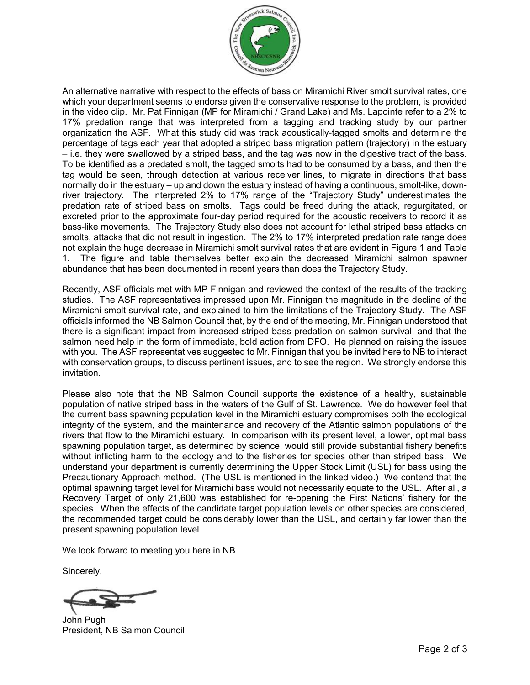

An alternative narrative with respect to the effects of bass on Miramichi River smolt survival rates, one which your department seems to endorse given the conservative response to the problem, is provided in the video clip. Mr. Pat Finnigan (MP for Miramichi / Grand Lake) and Ms. Lapointe refer to a 2% to 17% predation range that was interpreted from a tagging and tracking study by our partner organization the ASF. What this study did was track acoustically-tagged smolts and determine the percentage of tags each year that adopted a striped bass migration pattern (trajectory) in the estuary – i.e. they were swallowed by a striped bass, and the tag was now in the digestive tract of the bass. To be identified as a predated smolt, the tagged smolts had to be consumed by a bass, and then the tag would be seen, through detection at various receiver lines, to migrate in directions that bass normally do in the estuary – up and down the estuary instead of having a continuous, smolt-like, downriver trajectory. The interpreted 2% to 17% range of the "Trajectory Study" underestimates the predation rate of striped bass on smolts. Tags could be freed during the attack, regurgitated, or excreted prior to the approximate four-day period required for the acoustic receivers to record it as bass-like movements. The Trajectory Study also does not account for lethal striped bass attacks on smolts, attacks that did not result in ingestion. The 2% to 17% interpreted predation rate range does not explain the huge decrease in Miramichi smolt survival rates that are evident in Figure 1 and Table 1. The figure and table themselves better explain the decreased Miramichi salmon spawner abundance that has been documented in recent years than does the Trajectory Study.

Recently, ASF officials met with MP Finnigan and reviewed the context of the results of the tracking studies. The ASF representatives impressed upon Mr. Finnigan the magnitude in the decline of the Miramichi smolt survival rate, and explained to him the limitations of the Trajectory Study. The ASF officials informed the NB Salmon Council that, by the end of the meeting, Mr. Finnigan understood that there is a significant impact from increased striped bass predation on salmon survival, and that the salmon need help in the form of immediate, bold action from DFO. He planned on raising the issues with you. The ASF representatives suggested to Mr. Finnigan that you be invited here to NB to interact with conservation groups, to discuss pertinent issues, and to see the region. We strongly endorse this invitation.

Please also note that the NB Salmon Council supports the existence of a healthy, sustainable population of native striped bass in the waters of the Gulf of St. Lawrence. We do however feel that the current bass spawning population level in the Miramichi estuary compromises both the ecological integrity of the system, and the maintenance and recovery of the Atlantic salmon populations of the rivers that flow to the Miramichi estuary. In comparison with its present level, a lower, optimal bass spawning population target, as determined by science, would still provide substantial fishery benefits without inflicting harm to the ecology and to the fisheries for species other than striped bass. We understand your department is currently determining the Upper Stock Limit (USL) for bass using the Precautionary Approach method. (The USL is mentioned in the linked video.) We contend that the optimal spawning target level for Miramichi bass would not necessarily equate to the USL. After all, a Recovery Target of only 21,600 was established for re-opening the First Nations' fishery for the species. When the effects of the candidate target population levels on other species are considered, the recommended target could be considerably lower than the USL, and certainly far lower than the present spawning population level.

We look forward to meeting you here in NB.

Sincerely,

John Pugh President, NB Salmon Council